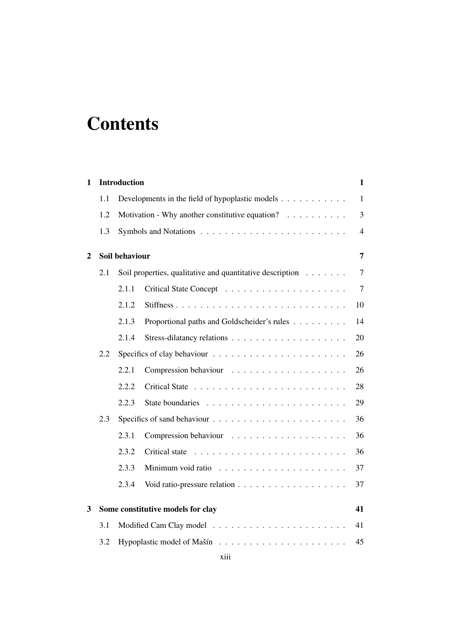## **Contents**

| 1 |     | <b>Introduction</b>                                       |                                                 | $\mathbf{1}$   |  |  |
|---|-----|-----------------------------------------------------------|-------------------------------------------------|----------------|--|--|
|   | 1.1 |                                                           | Developments in the field of hypoplastic models | $\mathbf{1}$   |  |  |
|   | 1.2 | Motivation - Why another constitutive equation?           |                                                 |                |  |  |
|   | 1.3 |                                                           |                                                 |                |  |  |
| 2 |     | Soil behaviour<br>$\overline{7}$                          |                                                 |                |  |  |
|   | 2.1 | Soil properties, qualitative and quantitative description |                                                 |                |  |  |
|   |     | 2.1.1                                                     |                                                 | $\overline{7}$ |  |  |
|   |     | 2.1.2                                                     |                                                 | 10             |  |  |
|   |     | 2.1.3                                                     | Proportional paths and Goldscheider's rules     | 14             |  |  |
|   |     | 2.1.4                                                     |                                                 | 20             |  |  |
|   | 2.2 |                                                           |                                                 |                |  |  |
|   |     | 2.2.1                                                     |                                                 | 26             |  |  |
|   |     | 2.2.2                                                     |                                                 | 28             |  |  |
|   |     | 2.2.3                                                     |                                                 | 29             |  |  |
|   | 2.3 |                                                           |                                                 | 36             |  |  |
|   |     | 2.3.1                                                     |                                                 | 36             |  |  |
|   |     | 2.3.2                                                     |                                                 | 36             |  |  |
|   |     | 2.3.3                                                     |                                                 | 37             |  |  |
|   |     | 2.3.4                                                     |                                                 | 37             |  |  |
| 3 |     |                                                           | Some constitutive models for clay               | 41             |  |  |
|   | 3.1 | 41                                                        |                                                 |                |  |  |
|   | 3.2 | 45                                                        |                                                 |                |  |  |